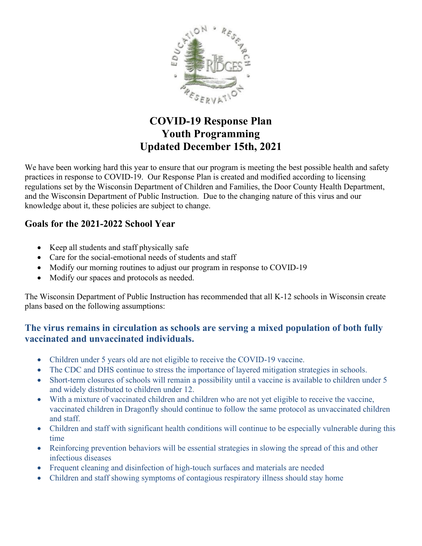

## **COVID-19 Response Plan Youth Programming Updated December 15th, 2021**

We have been working hard this year to ensure that our program is meeting the best possible health and safety practices in response to COVID-19. Our Response Plan is created and modified according to licensing regulations set by the Wisconsin Department of Children and Families, the Door County Health Department, and the Wisconsin Department of Public Instruction. Due to the changing nature of this virus and our knowledge about it, these policies are subject to change.

#### **Goals for the 2021-2022 School Year**

- Keep all students and staff physically safe
- Care for the social-emotional needs of students and staff
- Modify our morning routines to adjust our program in response to COVID-19
- Modify our spaces and protocols as needed.

The Wisconsin Department of Public Instruction has recommended that all K-12 schools in Wisconsin create plans based on the following assumptions:

### **The virus remains in circulation as schools are serving a mixed population of both fully vaccinated and unvaccinated individuals.**

- Children under 5 years old are not eligible to receive the COVID-19 vaccine.
- The CDC and DHS continue to stress the importance of layered mitigation strategies in schools.
- Short-term closures of schools will remain a possibility until a vaccine is available to children under 5 and widely distributed to children under 12.
- With a mixture of vaccinated children and children who are not yet eligible to receive the vaccine, vaccinated children in Dragonfly should continue to follow the same protocol as unvaccinated children and staff.
- Children and staff with significant health conditions will continue to be especially vulnerable during this time
- Reinforcing prevention behaviors will be essential strategies in slowing the spread of this and other infectious diseases
- Frequent cleaning and disinfection of high-touch surfaces and materials are needed
- Children and staff showing symptoms of contagious respiratory illness should stay home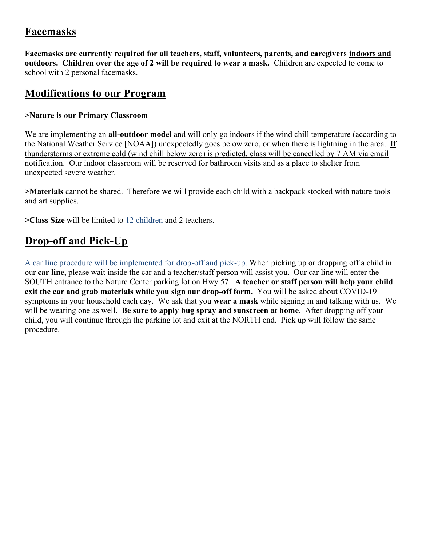## **Facemasks**

**Facemasks are currently required for all teachers, staff, volunteers, parents, and caregivers indoors and outdoors. Children over the age of 2 will be required to wear a mask.** Children are expected to come to school with 2 personal facemasks.

### **Modifications to our Program**

#### **>Nature is our Primary Classroom**

We are implementing an **all-outdoor model** and will only go indoors if the wind chill temperature (according to the National Weather Service [NOAA]) unexpectedly goes below zero, or when there is lightning in the area. If thunderstorms or extreme cold (wind chill below zero) is predicted, class will be cancelled by 7 AM via email notification. Our indoor classroom will be reserved for bathroom visits and as a place to shelter from unexpected severe weather.

**>Materials** cannot be shared. Therefore we will provide each child with a backpack stocked with nature tools and art supplies.

**>Class Size** will be limited to 12 children and 2 teachers.

## **Drop-off and Pick-Up**

A car line procedure will be implemented for drop-off and pick-up. When picking up or dropping off a child in our **car line**, please wait inside the car and a teacher/staff person will assist you. Our car line will enter the SOUTH entrance to the Nature Center parking lot on Hwy 57. **A teacher or staff person will help your child exit the car and grab materials while you sign our drop-off form.** You will be asked about COVID-19 symptoms in your household each day. We ask that you **wear a mask** while signing in and talking with us. We will be wearing one as well. **Be sure to apply bug spray and sunscreen at home**. After dropping off your child, you will continue through the parking lot and exit at the NORTH end. Pick up will follow the same procedure.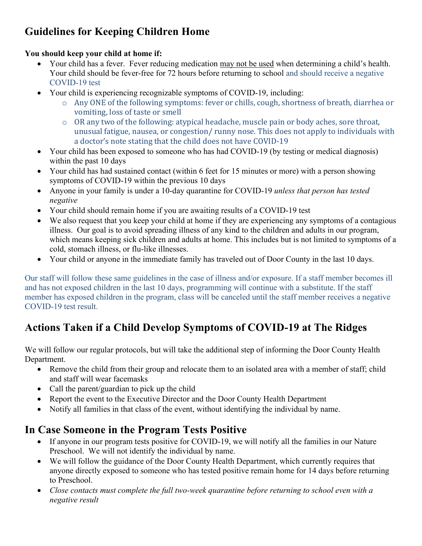# **Guidelines for Keeping Children Home**

#### **You should keep your child at home if:**

- Your child has a fever. Fever reducing medication may not be used when determining a child's health. Your child should be fever-free for 72 hours before returning to school and should receive a negative COVID-19 test
- Your child is experiencing recognizable symptoms of COVID-19, including:
	- o Any ONE of the following symptoms: fever or chills, cough, shortness of breath, diarrhea or vomiting, loss of taste or smell
	- o OR any two of the following: atypical headache, muscle pain or body aches, sore throat, unusual fatigue, nausea, or congestion/ runny nose. This does not apply to individuals with a doctor's note stating that the child does not have COVID-19
- Your child has been exposed to someone who has had COVID-19 (by testing or medical diagnosis) within the past 10 days
- Your child has had sustained contact (within 6 feet for 15 minutes or more) with a person showing symptoms of COVID-19 within the previous 10 days
- Anyone in your family is under a 10-day quarantine for COVID-19 *unless that person has tested negative*
- Your child should remain home if you are awaiting results of a COVID-19 test
- We also request that you keep your child at home if they are experiencing any symptoms of a contagious illness. Our goal is to avoid spreading illness of any kind to the children and adults in our program, which means keeping sick children and adults at home. This includes but is not limited to symptoms of a cold, stomach illness, or flu-like illnesses.
- Your child or anyone in the immediate family has traveled out of Door County in the last 10 days.

Our staff will follow these same guidelines in the case of illness and/or exposure. If a staff member becomes ill and has not exposed children in the last 10 days, programming will continue with a substitute. If the staff member has exposed children in the program, class will be canceled until the staff member receives a negative COVID-19 test result.

# **Actions Taken if a Child Develop Symptoms of COVID-19 at The Ridges**

We will follow our regular protocols, but will take the additional step of informing the Door County Health Department.

- Remove the child from their group and relocate them to an isolated area with a member of staff; child and staff will wear facemasks
- Call the parent/guardian to pick up the child
- Report the event to the Executive Director and the Door County Health Department
- Notify all families in that class of the event, without identifying the individual by name.

## **In Case Someone in the Program Tests Positive**

- If anyone in our program tests positive for COVID-19, we will notify all the families in our Nature Preschool. We will not identify the individual by name.
- We will follow the guidance of the Door County Health Department, which currently requires that anyone directly exposed to someone who has tested positive remain home for 14 days before returning to Preschool.
- *Close contacts must complete the full two-week quarantine before returning to school even with a negative result*